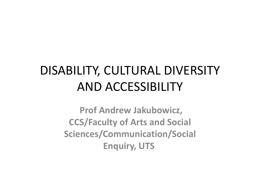# DISABILITY, CULTURAL DIVERSITY AND ACCESSIBILITY

**Prof Andrew Jakubowicz, CCS/Faculty of Arts and Social Sciences/Communication/Social Enquiry, UTS**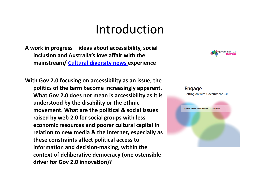#### Introduction

**A work in progress – ideas about accessibility, social inclusion and Australia's love affair with the mainstream/ Cultural [diversity](http://culturaldiversity.net.au) news experience**

**With Gov 2.0 focusing on accessibility as an issue, the politics of the term become increasingly apparent. What Gov 2.0 does not mean is accessibility as it is understood by the disability or the ethnic movement. What are the political & social issues raised by web 2.0 for social groups with less economic resources and poorer cultural capital in relation to new media & the Internet, especially as these constraints affect political access to information and decision‐making, within the context of deliberative democracy (one ostensible driver for Gov 2.0 innovation)?**



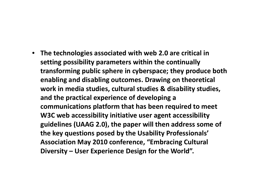• **The technologies associated with web 2.0 are critical in setting possibility parameters within the continually transforming public sphere in cyberspace; they produce both enabling and disabling outcomes. Drawing on theoretical work in media studies, cultural studies & disability studies, and the practical experience of developing <sup>a</sup> communications platform that has been required to meet W3C web accessibility initiative user agent accessibility guidelines (UAAG 2.0), the paper will then address some of the key questions posed by the Usability Professionals' Association May 2010 conference, "Embracing Cultural Diversity – User Experience Design for the World".**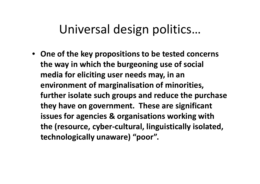### Universal design politics…

• **One of the key propositions to be tested concerns the way in which the burgeoning use of social media for eliciting user needs may, in an environment of marginalisation of minorities, further isolate such groups and reduce the purchase they have on government. These are significant issues for agencies & organisations working with the (resource, cyber‐cultural, linguistically isolated, technologically unaware) "poor".**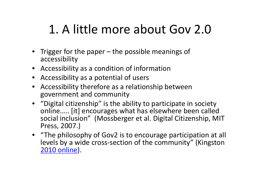# 1. A little more about Gov 2.0

- Trigger for the paper the possible meanings of accessibility
- Accessibility as <sup>a</sup> condition of information
- Accessibility as <sup>a</sup> potential of users
- Accessibility therefore as <sup>a</sup> relationship between government and community
- "Digital citizenship" is the ability to participate in society online….. [it] encourages what has elsewhere been called social inclusion" (Mossberger et al. Digital Citizenship, MIT Press, 2007.)
- "The philosophy of Gov2 is to encourage participation at all levels by <sup>a</sup> wide cross‐section of the community" (Kingston 2010 [online](http://gov2.net.au/blog/2009/12/07/draftreport/#comment-13028)).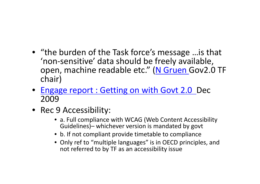- "the burden of the Task force's message …is that 'non ‐sensitive' data should be freely available, open, machine readable etc." (<mark>N [Gruen](http://gov2.net.au/blog/2009/12/07/draftreport/#comment-13028)</mark> Gov2.0 TF chair)
- Engage report : [Getting](http://www.finance.gov.au/publications/gov20taskforcereport/index.html) on with Govt 2.0 Dec 2009
- Rec 9 Accessibility:
	- a. Full compliance with WCAG (Web Content Accessibility Guidelines)– whichever version is mandated by govt
	- b. If not compliant provide timetable to compliance
	- Only ref to "multiple languages" is in OECD principles, and not referred to by TF as an accessibility issue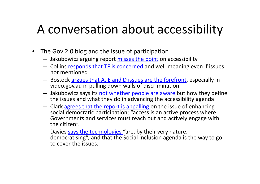### A conversation about accessibility

- The Gov 2.0 blog and the issue of participation
	- Jakubowicz arguing report [misses](http://gov2.net.au/blog/2009/12/07/draftreport/#comment-5837) the point on accessibility
	- Collins <u>[responds](http://gov2.net.au/blog/2009/12/07/draftreport/#comment-5839) that TF is concerned a</u>nd well-meaning even if issues not mentioned
	- Bostock argues that A, E and D issues are the [forefront](http://gov2.net.au/blog/2009/12/07/draftreport/#comment-5850), especially in video.gov.au in pulling down walls of discrimination
	- $-$  Jakubowicz says its <u>not [whether](http://gov2.net.au/blog/2009/12/07/draftreport/#comment-5961) people are aware </u>but how they define the issues and what they do in advancing the accessibility agenda
	- Clark agrees that the report is [appalling](http://gov2.net.au/blog/2009/12/07/draftreport/#comment-5997) on the issue of enhancing social democratic participation; "access is an active process where Governments and services must reach out and actively engage with the citizen".
	- $-$  Davies says the [technologies](http://gov2.net.au/blog/2009/12/07/draftreport/#comment-6032) "are, by their very nature, democratising", and that the Social Inclusion agenda is the way to go to cover the issues.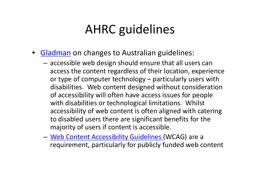# AHRC guidelines

- [Gladman](http://blog.linkaffiliates.net.au/2010/02/04/becoming-clear-changes-forecast-for-australian-web-accessibility-requirements/) on changes to Australian guidelines:
	- – $-$  accessible web design should ensure that all users can access the content regardless of their location, experience or type of computer technology – particularly users with disabilities. Web content designed without consideration of accessibility will often have access issues for people with disabilities or technological limitations. Whilst accessibility of web content is often aligned with catering to disabled users there are significant benefits for the majority of users if content is accessible.
	- –— <u>Web Content [Accessibility](http://www.youtube.com/watch?v=MO2gpA91fR8&cc=1) Guidelines (</u>WCAG) are a requirement, particularly for publicly funded web content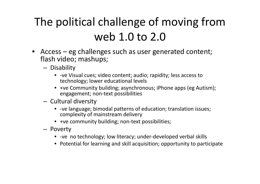## The political challenge of moving from web 1.0 to 2.0

- Access eg challenges such as user generated content; flash video; mashups;
	- –— Disability
		- ‐ve Visual cues; video content; audio; rapidity; less access to technology; lower educational levels
		- +ve Community building; asynchronous; iPhone apps (eg Autism); engagement; non‐text possibilities
	- – $-$  Cultural diversity
		- ‐ve language; bimodal patterns of education; translation issues; complexity of mainstream delivery
		- +ve community building; non‐text possibilities;
	- Poverty
		- -ve no technology; low literacy; under-developed verbal skills
		- Potential for learning and skill acquisition; opportunity to participate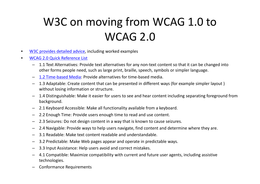#### W3C on moving from WCAG 1.0 to WCAG 2.0

- •• W3C [provides](http://www.w3.org/WAI/presentations/WCAG20_benefits/WCAG20_benefits.html) detailed advice, including worked examples
- • WCAG 2.0 Quick [Reference](http://www.w3.org/WAI/WCAG20/quickref/#guidelines) List
	- – 1.1 Text Alternatives: Provide text alternatives for any non‐text content so that it can be changed into other forms people need, such as large print, braille, speech, symbols or simpler language.
	- –1.2 Time-based [Media](http://www.w3.org/WAI/WCAG20/quickref/#media-equiv): Provide alternatives for time-based media.
	- – 1.3 Adaptable: Create content that can be presented in different ways (for example simpler layout ) without losing information or structure.
	- – 1.4 Distinguishable: Make it easier for users to see and hear content including separating foreground from background.
	- –2.1 Keyboard Accessible: Make all functionality available from <sup>a</sup> keyboard.
	- –2.2 Enough Time: Provide users enough time to read and use content.
	- –2.3 Seizures: Do not design content in <sup>a</sup> way that is known to cause seizures.
	- –2.4 Navigable: Provide ways to help users navigate, find content and determine where they are.
	- –3.1 Readable: Make text content readable and understandable.
	- –3.2 Predictable: Make Web pages appear and operate in predictable ways.
	- –3.3 Input Assistance: Help users avoid and correct mistakes.
	- – 4.1 Compatible: Maximize compatibility with current and future user agents, including assistive technologies.
	- –Conformance Requirements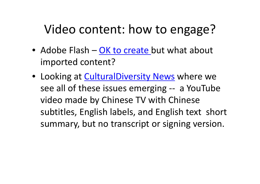## Video content: how to engage?

- Adobe Flash OK to [create](http://www.adobe.com/accessibility/products/flash/tutorial/) but what about imported content?
- **Looking at [CulturalDiversity](http://culturaldiversity.net.au/index.php?option=com_content&view=article&id=277:human-rights-in-australia&catid=21:human-rights-blogs) News where we** see all of these issues emerging ‐‐ <sup>a</sup> YouTube video made by Chinese TV with Chinese subtitles, English labels, and English text short summary, but no transcript or signing version.